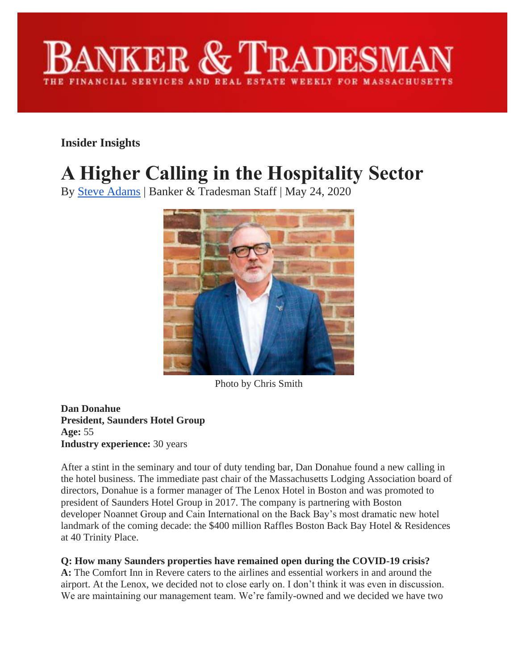

**Insider Insights**

# **A Higher Calling in the Hospitality Sector**

By [Steve Adams](https://www.bankerandtradesman.com/author/sadams/) | Banker & Tradesman Staff | May 24, 2020



Photo by Chris Smith

**Dan Donahue President, Saunders Hotel Group Age:** 55 **Industry experience:** 30 years

After a stint in the seminary and tour of duty tending bar, Dan Donahue found a new calling in the hotel business. The immediate past chair of the Massachusetts Lodging Association board of directors, Donahue is a former manager of The Lenox Hotel in Boston and was promoted to president of Saunders Hotel Group in 2017. The company is partnering with Boston developer Noannet Group and Cain International on the Back Bay's most dramatic new hotel landmark of the coming decade: the \$400 million Raffles Boston Back Bay Hotel & Residences at 40 Trinity Place.

## **Q: How many Saunders properties have remained open during the COVID-19 crisis?**

**A:** The Comfort Inn in Revere caters to the airlines and essential workers in and around the airport. At the Lenox, we decided not to close early on. I don't think it was even in discussion. We are maintaining our management team. We're family-owned and we decided we have two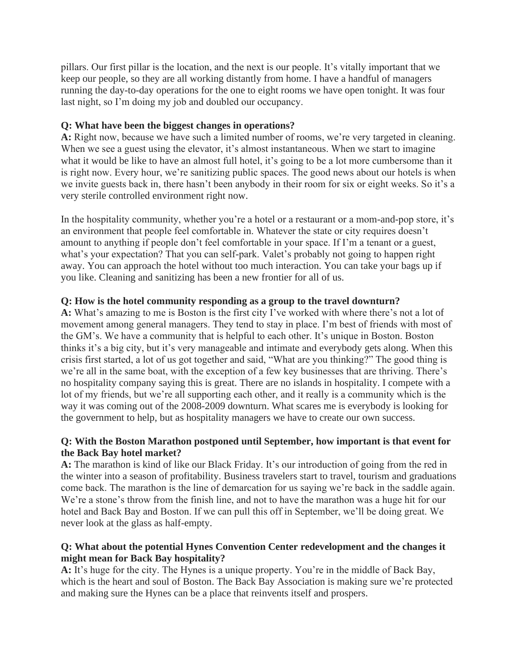pillars. Our first pillar is the location, and the next is our people. It's vitally important that we keep our people, so they are all working distantly from home. I have a handful of managers running the day-to-day operations for the one to eight rooms we have open tonight. It was four last night, so I'm doing my job and doubled our occupancy.

### **Q: What have been the biggest changes in operations?**

**A:** Right now, because we have such a limited number of rooms, we're very targeted in cleaning. When we see a guest using the elevator, it's almost instantaneous. When we start to imagine what it would be like to have an almost full hotel, it's going to be a lot more cumbersome than it is right now. Every hour, we're sanitizing public spaces. The good news about our hotels is when we invite guests back in, there hasn't been anybody in their room for six or eight weeks. So it's a very sterile controlled environment right now.

In the hospitality community, whether you're a hotel or a restaurant or a mom-and-pop store, it's an environment that people feel comfortable in. Whatever the state or city requires doesn't amount to anything if people don't feel comfortable in your space. If I'm a tenant or a guest, what's your expectation? That you can self-park. Valet's probably not going to happen right away. You can approach the hotel without too much interaction. You can take your bags up if you like. Cleaning and sanitizing has been a new frontier for all of us.

## **Q: How is the hotel community responding as a group to the travel downturn?**

**A:** What's amazing to me is Boston is the first city I've worked with where there's not a lot of movement among general managers. They tend to stay in place. I'm best of friends with most of the GM's. We have a community that is helpful to each other. It's unique in Boston. Boston thinks it's a big city, but it's very manageable and intimate and everybody gets along. When this crisis first started, a lot of us got together and said, "What are you thinking?" The good thing is we're all in the same boat, with the exception of a few key businesses that are thriving. There's no hospitality company saying this is great. There are no islands in hospitality. I compete with a lot of my friends, but we're all supporting each other, and it really is a community which is the way it was coming out of the 2008-2009 downturn. What scares me is everybody is looking for the government to help, but as hospitality managers we have to create our own success.

#### **Q: With the Boston Marathon postponed until September, how important is that event for the Back Bay hotel market?**

**A:** The marathon is kind of like our Black Friday. It's our introduction of going from the red in the winter into a season of profitability. Business travelers start to travel, tourism and graduations come back. The marathon is the line of demarcation for us saying we're back in the saddle again. We're a stone's throw from the finish line, and not to have the marathon was a huge hit for our hotel and Back Bay and Boston. If we can pull this off in September, we'll be doing great. We never look at the glass as half-empty.

## **Q: What about the potential Hynes Convention Center redevelopment and the changes it might mean for Back Bay hospitality?**

**A:** It's huge for the city. The Hynes is a unique property. You're in the middle of Back Bay, which is the heart and soul of Boston. The Back Bay Association is making sure we're protected and making sure the Hynes can be a place that reinvents itself and prospers.